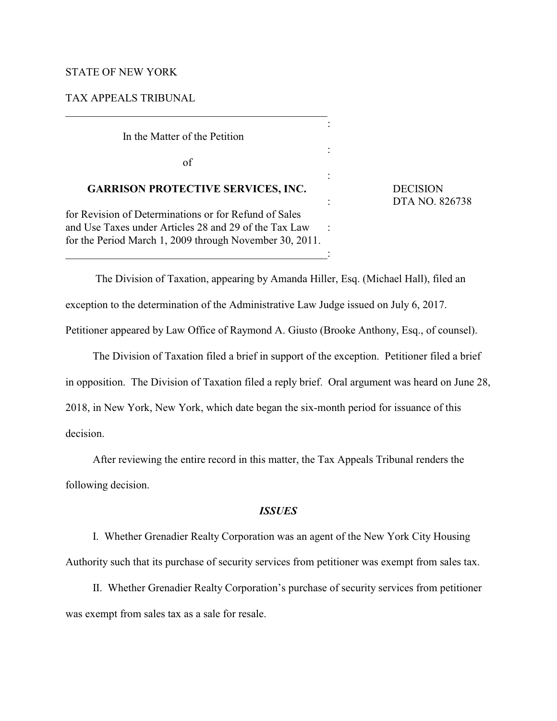# STATE OF NEW YORK

## TAX APPEALS TRIBUNAL

In the Matter of the Petition

of

# **GARRISON PROTECTIVE SERVICES, INC.** DECISION

for Revision of Determinations or for Refund of Sales and Use Taxes under Articles 28 and 29 of the Tax Law : for the Period March 1, 2009 through November 30, 2011.

 $\overline{\phantom{a}}$  ,  $\overline{\phantom{a}}$  ,  $\overline{\phantom{a}}$  ,  $\overline{\phantom{a}}$  ,  $\overline{\phantom{a}}$  ,  $\overline{\phantom{a}}$  ,  $\overline{\phantom{a}}$  ,  $\overline{\phantom{a}}$  ,  $\overline{\phantom{a}}$  ,  $\overline{\phantom{a}}$  ,  $\overline{\phantom{a}}$  ,  $\overline{\phantom{a}}$  ,  $\overline{\phantom{a}}$  ,  $\overline{\phantom{a}}$  ,  $\overline{\phantom{a}}$  ,  $\overline{\phantom{a}}$ 

: DTA NO. 826738

 The Division of Taxation, appearing by Amanda Hiller, Esq. (Michael Hall), filed an exception to the determination of the Administrative Law Judge issued on July 6, 2017. Petitioner appeared by Law Office of Raymond A. Giusto (Brooke Anthony, Esq., of counsel).

:

:

:

The Division of Taxation filed a brief in support of the exception. Petitioner filed a brief in opposition. The Division of Taxation filed a reply brief. Oral argument was heard on June 28, 2018, in New York, New York, which date began the six-month period for issuance of this decision.

After reviewing the entire record in this matter, the Tax Appeals Tribunal renders the following decision.

## *ISSUES*

I. Whether Grenadier Realty Corporation was an agent of the New York City Housing Authority such that its purchase of security services from petitioner was exempt from sales tax.

II. Whether Grenadier Realty Corporation's purchase of security services from petitioner was exempt from sales tax as a sale for resale.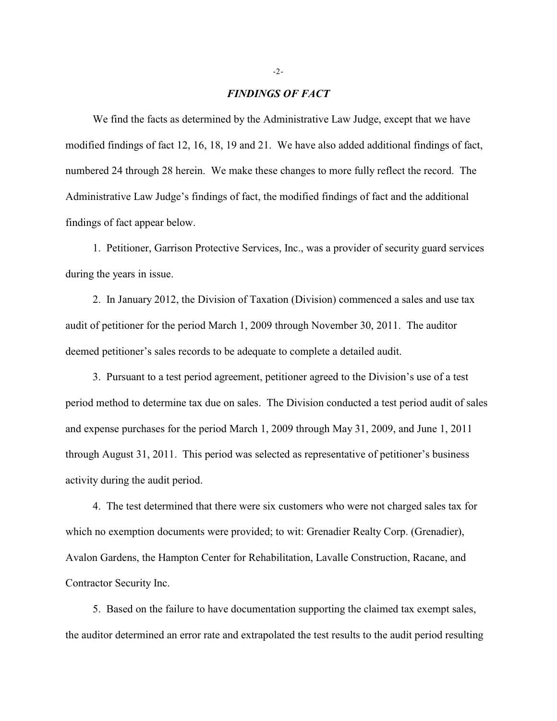### *FINDINGS OF FACT*

We find the facts as determined by the Administrative Law Judge, except that we have modified findings of fact 12, 16, 18, 19 and 21. We have also added additional findings of fact, numbered 24 through 28 herein. We make these changes to more fully reflect the record. The Administrative Law Judge's findings of fact, the modified findings of fact and the additional findings of fact appear below.

1. Petitioner, Garrison Protective Services, Inc., was a provider of security guard services during the years in issue.

2. In January 2012, the Division of Taxation (Division) commenced a sales and use tax audit of petitioner for the period March 1, 2009 through November 30, 2011. The auditor deemed petitioner's sales records to be adequate to complete a detailed audit.

3. Pursuant to a test period agreement, petitioner agreed to the Division's use of a test period method to determine tax due on sales. The Division conducted a test period audit of sales and expense purchases for the period March 1, 2009 through May 31, 2009, and June 1, 2011 through August 31, 2011. This period was selected as representative of petitioner's business activity during the audit period.

4. The test determined that there were six customers who were not charged sales tax for which no exemption documents were provided; to wit: Grenadier Realty Corp. (Grenadier), Avalon Gardens, the Hampton Center for Rehabilitation, Lavalle Construction, Racane, and Contractor Security Inc.

5. Based on the failure to have documentation supporting the claimed tax exempt sales, the auditor determined an error rate and extrapolated the test results to the audit period resulting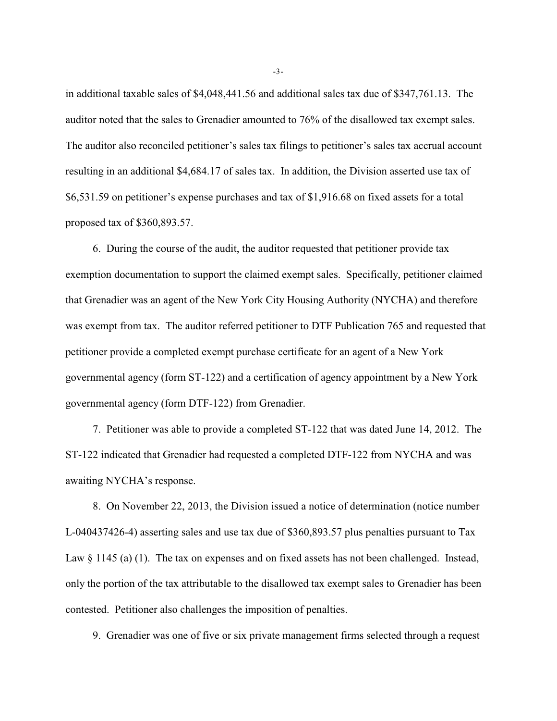in additional taxable sales of \$4,048,441.56 and additional sales tax due of \$347,761.13. The auditor noted that the sales to Grenadier amounted to 76% of the disallowed tax exempt sales. The auditor also reconciled petitioner's sales tax filings to petitioner's sales tax accrual account resulting in an additional \$4,684.17 of sales tax. In addition, the Division asserted use tax of \$6,531.59 on petitioner's expense purchases and tax of \$1,916.68 on fixed assets for a total proposed tax of \$360,893.57.

6. During the course of the audit, the auditor requested that petitioner provide tax exemption documentation to support the claimed exempt sales. Specifically, petitioner claimed that Grenadier was an agent of the New York City Housing Authority (NYCHA) and therefore was exempt from tax. The auditor referred petitioner to DTF Publication 765 and requested that petitioner provide a completed exempt purchase certificate for an agent of a New York governmental agency (form ST-122) and a certification of agency appointment by a New York governmental agency (form DTF-122) from Grenadier.

7. Petitioner was able to provide a completed ST-122 that was dated June 14, 2012. The ST-122 indicated that Grenadier had requested a completed DTF-122 from NYCHA and was awaiting NYCHA's response.

8. On November 22, 2013, the Division issued a notice of determination (notice number L-040437426-4) asserting sales and use tax due of \$360,893.57 plus penalties pursuant to Tax Law  $\S$  1145 (a) (1). The tax on expenses and on fixed assets has not been challenged. Instead, only the portion of the tax attributable to the disallowed tax exempt sales to Grenadier has been contested. Petitioner also challenges the imposition of penalties.

9. Grenadier was one of five or six private management firms selected through a request

-3-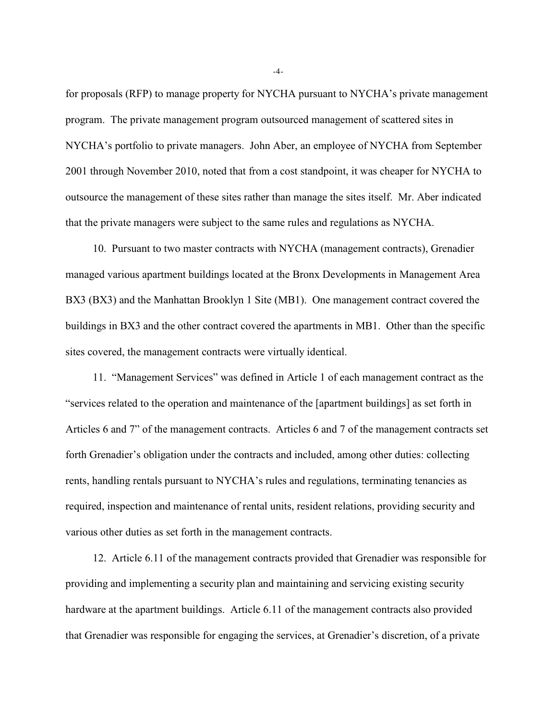for proposals (RFP) to manage property for NYCHA pursuant to NYCHA's private management program. The private management program outsourced management of scattered sites in NYCHA's portfolio to private managers. John Aber, an employee of NYCHA from September 2001 through November 2010, noted that from a cost standpoint, it was cheaper for NYCHA to outsource the management of these sites rather than manage the sites itself. Mr. Aber indicated that the private managers were subject to the same rules and regulations as NYCHA.

10. Pursuant to two master contracts with NYCHA (management contracts), Grenadier managed various apartment buildings located at the Bronx Developments in Management Area BX3 (BX3) and the Manhattan Brooklyn 1 Site (MB1). One management contract covered the buildings in BX3 and the other contract covered the apartments in MB1. Other than the specific sites covered, the management contracts were virtually identical.

11. "Management Services" was defined in Article 1 of each management contract as the "services related to the operation and maintenance of the [apartment buildings] as set forth in Articles 6 and 7" of the management contracts. Articles 6 and 7 of the management contracts set forth Grenadier's obligation under the contracts and included, among other duties: collecting rents, handling rentals pursuant to NYCHA's rules and regulations, terminating tenancies as required, inspection and maintenance of rental units, resident relations, providing security and various other duties as set forth in the management contracts.

12. Article 6.11 of the management contracts provided that Grenadier was responsible for providing and implementing a security plan and maintaining and servicing existing security hardware at the apartment buildings. Article 6.11 of the management contracts also provided that Grenadier was responsible for engaging the services, at Grenadier's discretion, of a private

-4-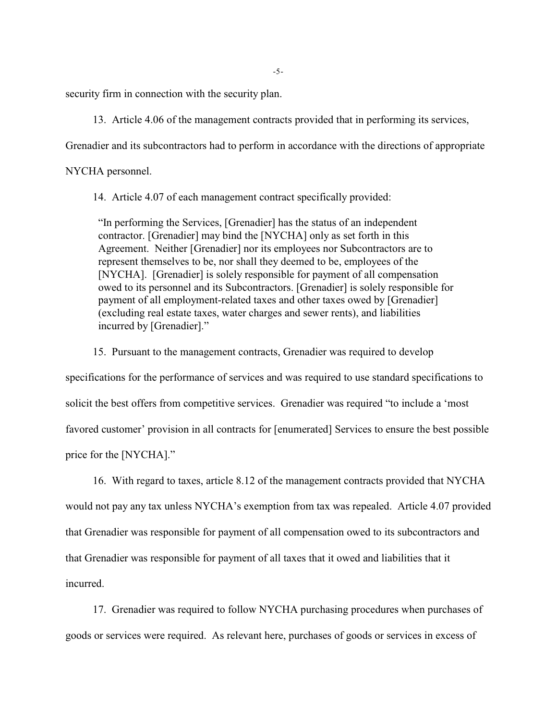security firm in connection with the security plan.

13. Article 4.06 of the management contracts provided that in performing its services,

Grenadier and its subcontractors had to perform in accordance with the directions of appropriate

NYCHA personnel.

14. Article 4.07 of each management contract specifically provided:

"In performing the Services, [Grenadier] has the status of an independent contractor. [Grenadier] may bind the [NYCHA] only as set forth in this Agreement. Neither [Grenadier] nor its employees nor Subcontractors are to represent themselves to be, nor shall they deemed to be, employees of the [NYCHA]. [Grenadier] is solely responsible for payment of all compensation owed to its personnel and its Subcontractors. [Grenadier] is solely responsible for payment of all employment-related taxes and other taxes owed by [Grenadier] (excluding real estate taxes, water charges and sewer rents), and liabilities incurred by [Grenadier]."

15. Pursuant to the management contracts, Grenadier was required to develop

specifications for the performance of services and was required to use standard specifications to solicit the best offers from competitive services. Grenadier was required "to include a 'most favored customer' provision in all contracts for [enumerated] Services to ensure the best possible price for the [NYCHA]."

16. With regard to taxes, article 8.12 of the management contracts provided that NYCHA would not pay any tax unless NYCHA's exemption from tax was repealed. Article 4.07 provided that Grenadier was responsible for payment of all compensation owed to its subcontractors and that Grenadier was responsible for payment of all taxes that it owed and liabilities that it incurred.

17. Grenadier was required to follow NYCHA purchasing procedures when purchases of goods or services were required. As relevant here, purchases of goods or services in excess of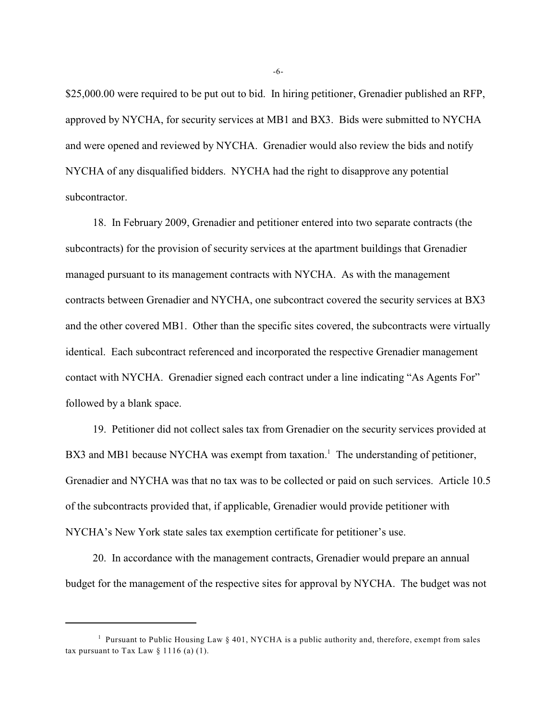\$25,000.00 were required to be put out to bid. In hiring petitioner, Grenadier published an RFP, approved by NYCHA, for security services at MB1 and BX3. Bids were submitted to NYCHA and were opened and reviewed by NYCHA. Grenadier would also review the bids and notify NYCHA of any disqualified bidders. NYCHA had the right to disapprove any potential subcontractor.

18. In February 2009, Grenadier and petitioner entered into two separate contracts (the subcontracts) for the provision of security services at the apartment buildings that Grenadier managed pursuant to its management contracts with NYCHA. As with the management contracts between Grenadier and NYCHA, one subcontract covered the security services at BX3 and the other covered MB1. Other than the specific sites covered, the subcontracts were virtually identical. Each subcontract referenced and incorporated the respective Grenadier management contact with NYCHA. Grenadier signed each contract under a line indicating "As Agents For" followed by a blank space.

19. Petitioner did not collect sales tax from Grenadier on the security services provided at BX3 and MB1 because NYCHA was exempt from taxation.<sup>1</sup> The understanding of petitioner, Grenadier and NYCHA was that no tax was to be collected or paid on such services. Article 10.5 of the subcontracts provided that, if applicable, Grenadier would provide petitioner with NYCHA's New York state sales tax exemption certificate for petitioner's use.

20. In accordance with the management contracts, Grenadier would prepare an annual budget for the management of the respective sites for approval by NYCHA. The budget was not

-6-

<sup>&</sup>lt;sup>1</sup> Pursuant to Public Housing Law  $\S 401$ , NYCHA is a public authority and, therefore, exempt from sales tax pursuant to Tax Law  $\S$  1116 (a) (1).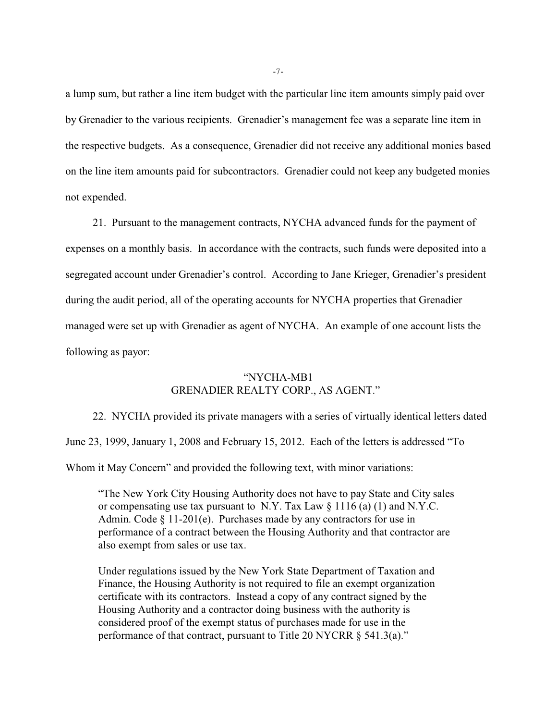a lump sum, but rather a line item budget with the particular line item amounts simply paid over by Grenadier to the various recipients. Grenadier's management fee was a separate line item in the respective budgets. As a consequence, Grenadier did not receive any additional monies based on the line item amounts paid for subcontractors. Grenadier could not keep any budgeted monies not expended.

21. Pursuant to the management contracts, NYCHA advanced funds for the payment of expenses on a monthly basis. In accordance with the contracts, such funds were deposited into a segregated account under Grenadier's control. According to Jane Krieger, Grenadier's president during the audit period, all of the operating accounts for NYCHA properties that Grenadier managed were set up with Grenadier as agent of NYCHA. An example of one account lists the following as payor:

# "NYCHA-MB1 GRENADIER REALTY CORP., AS AGENT."

22. NYCHA provided its private managers with a series of virtually identical letters dated June 23, 1999, January 1, 2008 and February 15, 2012. Each of the letters is addressed "To

Whom it May Concern" and provided the following text, with minor variations:

"The New York City Housing Authority does not have to pay State and City sales or compensating use tax pursuant to N.Y. Tax Law  $\S 1116$  (a) (1) and N.Y.C. Admin. Code  $\S 11-201(e)$ . Purchases made by any contractors for use in performance of a contract between the Housing Authority and that contractor are also exempt from sales or use tax.

Under regulations issued by the New York State Department of Taxation and Finance, the Housing Authority is not required to file an exempt organization certificate with its contractors. Instead a copy of any contract signed by the Housing Authority and a contractor doing business with the authority is considered proof of the exempt status of purchases made for use in the performance of that contract, pursuant to Title 20 NYCRR § 541.3(a)."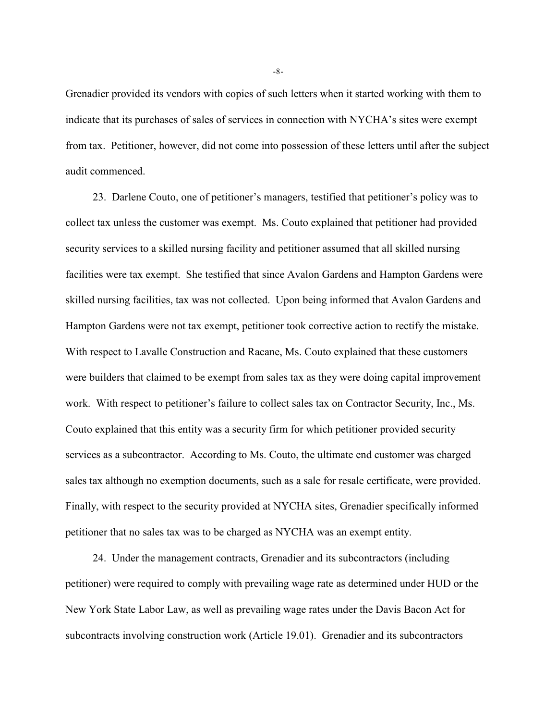Grenadier provided its vendors with copies of such letters when it started working with them to indicate that its purchases of sales of services in connection with NYCHA's sites were exempt from tax. Petitioner, however, did not come into possession of these letters until after the subject audit commenced.

23. Darlene Couto, one of petitioner's managers, testified that petitioner's policy was to collect tax unless the customer was exempt. Ms. Couto explained that petitioner had provided security services to a skilled nursing facility and petitioner assumed that all skilled nursing facilities were tax exempt. She testified that since Avalon Gardens and Hampton Gardens were skilled nursing facilities, tax was not collected. Upon being informed that Avalon Gardens and Hampton Gardens were not tax exempt, petitioner took corrective action to rectify the mistake. With respect to Lavalle Construction and Racane, Ms. Couto explained that these customers were builders that claimed to be exempt from sales tax as they were doing capital improvement work. With respect to petitioner's failure to collect sales tax on Contractor Security, Inc., Ms. Couto explained that this entity was a security firm for which petitioner provided security services as a subcontractor. According to Ms. Couto, the ultimate end customer was charged sales tax although no exemption documents, such as a sale for resale certificate, were provided. Finally, with respect to the security provided at NYCHA sites, Grenadier specifically informed petitioner that no sales tax was to be charged as NYCHA was an exempt entity.

24. Under the management contracts, Grenadier and its subcontractors (including petitioner) were required to comply with prevailing wage rate as determined under HUD or the New York State Labor Law, as well as prevailing wage rates under the Davis Bacon Act for subcontracts involving construction work (Article 19.01). Grenadier and its subcontractors

-8-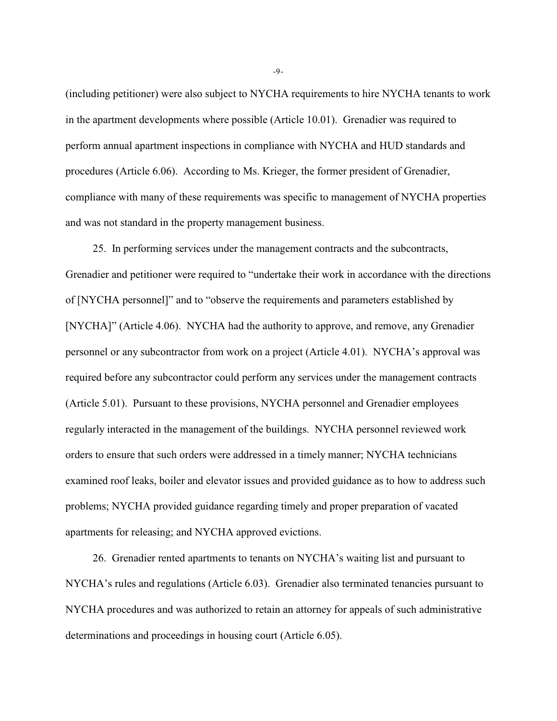(including petitioner) were also subject to NYCHA requirements to hire NYCHA tenants to work in the apartment developments where possible (Article 10.01). Grenadier was required to perform annual apartment inspections in compliance with NYCHA and HUD standards and procedures (Article 6.06). According to Ms. Krieger, the former president of Grenadier, compliance with many of these requirements was specific to management of NYCHA properties and was not standard in the property management business.

25. In performing services under the management contracts and the subcontracts, Grenadier and petitioner were required to "undertake their work in accordance with the directions of [NYCHA personnel]" and to "observe the requirements and parameters established by [NYCHA]" (Article 4.06). NYCHA had the authority to approve, and remove, any Grenadier personnel or any subcontractor from work on a project (Article 4.01). NYCHA's approval was required before any subcontractor could perform any services under the management contracts (Article 5.01). Pursuant to these provisions, NYCHA personnel and Grenadier employees regularly interacted in the management of the buildings. NYCHA personnel reviewed work orders to ensure that such orders were addressed in a timely manner; NYCHA technicians examined roof leaks, boiler and elevator issues and provided guidance as to how to address such problems; NYCHA provided guidance regarding timely and proper preparation of vacated apartments for releasing; and NYCHA approved evictions.

26. Grenadier rented apartments to tenants on NYCHA's waiting list and pursuant to NYCHA's rules and regulations (Article 6.03). Grenadier also terminated tenancies pursuant to NYCHA procedures and was authorized to retain an attorney for appeals of such administrative determinations and proceedings in housing court (Article 6.05).

-9-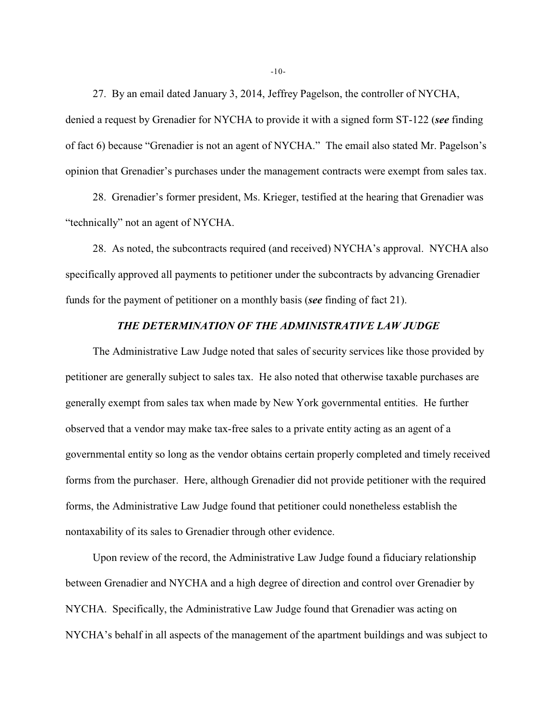27. By an email dated January 3, 2014, Jeffrey Pagelson, the controller of NYCHA, denied a request by Grenadier for NYCHA to provide it with a signed form ST-122 (*see* finding of fact 6) because "Grenadier is not an agent of NYCHA." The email also stated Mr. Pagelson's opinion that Grenadier's purchases under the management contracts were exempt from sales tax.

28. Grenadier's former president, Ms. Krieger, testified at the hearing that Grenadier was "technically" not an agent of NYCHA.

28. As noted, the subcontracts required (and received) NYCHA's approval. NYCHA also specifically approved all payments to petitioner under the subcontracts by advancing Grenadier funds for the payment of petitioner on a monthly basis (*see* finding of fact 21).

## *THE DETERMINATION OF THE ADMINISTRATIVE LAW JUDGE*

The Administrative Law Judge noted that sales of security services like those provided by petitioner are generally subject to sales tax. He also noted that otherwise taxable purchases are generally exempt from sales tax when made by New York governmental entities. He further observed that a vendor may make tax-free sales to a private entity acting as an agent of a governmental entity so long as the vendor obtains certain properly completed and timely received forms from the purchaser. Here, although Grenadier did not provide petitioner with the required forms, the Administrative Law Judge found that petitioner could nonetheless establish the nontaxability of its sales to Grenadier through other evidence.

Upon review of the record, the Administrative Law Judge found a fiduciary relationship between Grenadier and NYCHA and a high degree of direction and control over Grenadier by NYCHA. Specifically, the Administrative Law Judge found that Grenadier was acting on NYCHA's behalf in all aspects of the management of the apartment buildings and was subject to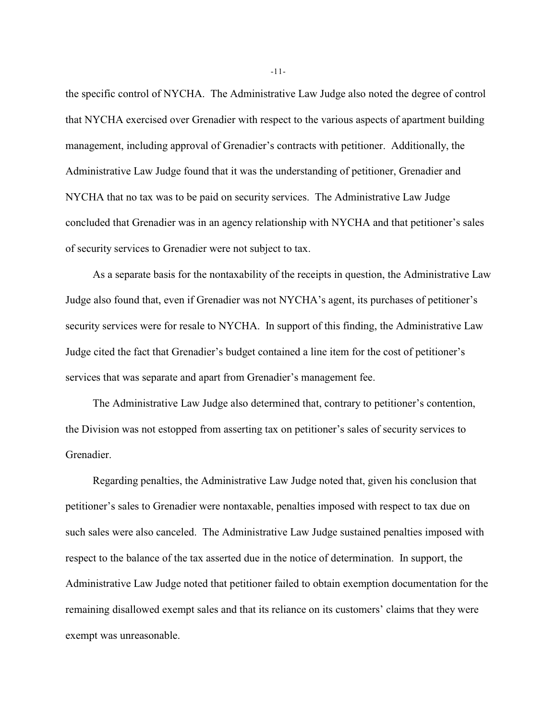the specific control of NYCHA. The Administrative Law Judge also noted the degree of control that NYCHA exercised over Grenadier with respect to the various aspects of apartment building management, including approval of Grenadier's contracts with petitioner. Additionally, the Administrative Law Judge found that it was the understanding of petitioner, Grenadier and NYCHA that no tax was to be paid on security services. The Administrative Law Judge concluded that Grenadier was in an agency relationship with NYCHA and that petitioner's sales of security services to Grenadier were not subject to tax.

As a separate basis for the nontaxability of the receipts in question, the Administrative Law Judge also found that, even if Grenadier was not NYCHA's agent, its purchases of petitioner's security services were for resale to NYCHA. In support of this finding, the Administrative Law Judge cited the fact that Grenadier's budget contained a line item for the cost of petitioner's services that was separate and apart from Grenadier's management fee.

The Administrative Law Judge also determined that, contrary to petitioner's contention, the Division was not estopped from asserting tax on petitioner's sales of security services to Grenadier.

Regarding penalties, the Administrative Law Judge noted that, given his conclusion that petitioner's sales to Grenadier were nontaxable, penalties imposed with respect to tax due on such sales were also canceled. The Administrative Law Judge sustained penalties imposed with respect to the balance of the tax asserted due in the notice of determination. In support, the Administrative Law Judge noted that petitioner failed to obtain exemption documentation for the remaining disallowed exempt sales and that its reliance on its customers' claims that they were exempt was unreasonable.

-11-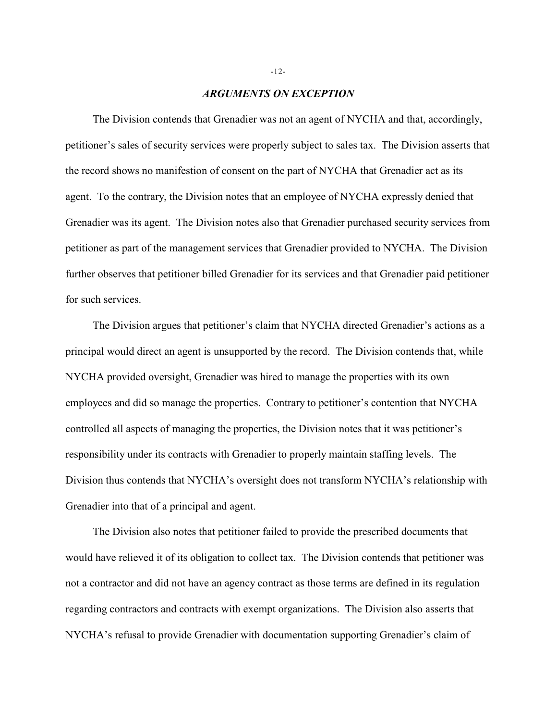## *ARGUMENTS ON EXCEPTION*

The Division contends that Grenadier was not an agent of NYCHA and that, accordingly, petitioner's sales of security services were properly subject to sales tax. The Division asserts that the record shows no manifestion of consent on the part of NYCHA that Grenadier act as its agent. To the contrary, the Division notes that an employee of NYCHA expressly denied that Grenadier was its agent. The Division notes also that Grenadier purchased security services from petitioner as part of the management services that Grenadier provided to NYCHA. The Division further observes that petitioner billed Grenadier for its services and that Grenadier paid petitioner for such services.

The Division argues that petitioner's claim that NYCHA directed Grenadier's actions as a principal would direct an agent is unsupported by the record. The Division contends that, while NYCHA provided oversight, Grenadier was hired to manage the properties with its own employees and did so manage the properties. Contrary to petitioner's contention that NYCHA controlled all aspects of managing the properties, the Division notes that it was petitioner's responsibility under its contracts with Grenadier to properly maintain staffing levels. The Division thus contends that NYCHA's oversight does not transform NYCHA's relationship with Grenadier into that of a principal and agent.

The Division also notes that petitioner failed to provide the prescribed documents that would have relieved it of its obligation to collect tax. The Division contends that petitioner was not a contractor and did not have an agency contract as those terms are defined in its regulation regarding contractors and contracts with exempt organizations. The Division also asserts that NYCHA's refusal to provide Grenadier with documentation supporting Grenadier's claim of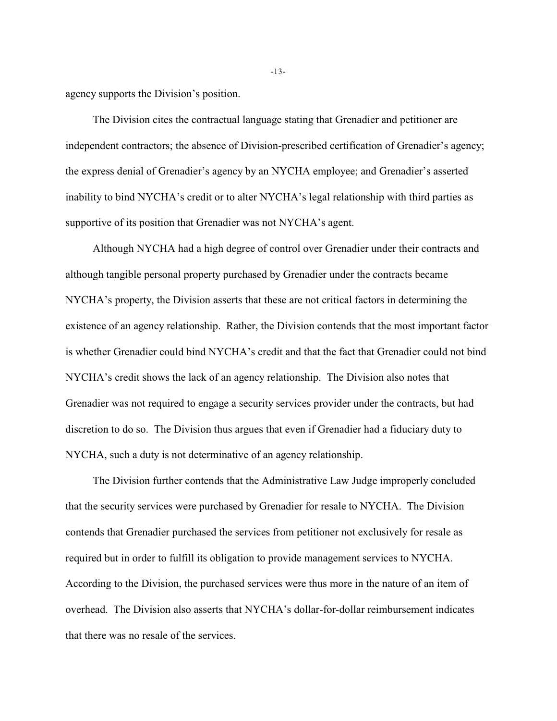agency supports the Division's position.

The Division cites the contractual language stating that Grenadier and petitioner are independent contractors; the absence of Division-prescribed certification of Grenadier's agency; the express denial of Grenadier's agency by an NYCHA employee; and Grenadier's asserted inability to bind NYCHA's credit or to alter NYCHA's legal relationship with third parties as supportive of its position that Grenadier was not NYCHA's agent.

Although NYCHA had a high degree of control over Grenadier under their contracts and although tangible personal property purchased by Grenadier under the contracts became NYCHA's property, the Division asserts that these are not critical factors in determining the existence of an agency relationship. Rather, the Division contends that the most important factor is whether Grenadier could bind NYCHA's credit and that the fact that Grenadier could not bind NYCHA's credit shows the lack of an agency relationship. The Division also notes that Grenadier was not required to engage a security services provider under the contracts, but had discretion to do so. The Division thus argues that even if Grenadier had a fiduciary duty to NYCHA, such a duty is not determinative of an agency relationship.

The Division further contends that the Administrative Law Judge improperly concluded that the security services were purchased by Grenadier for resale to NYCHA. The Division contends that Grenadier purchased the services from petitioner not exclusively for resale as required but in order to fulfill its obligation to provide management services to NYCHA. According to the Division, the purchased services were thus more in the nature of an item of overhead. The Division also asserts that NYCHA's dollar-for-dollar reimbursement indicates that there was no resale of the services.

-13-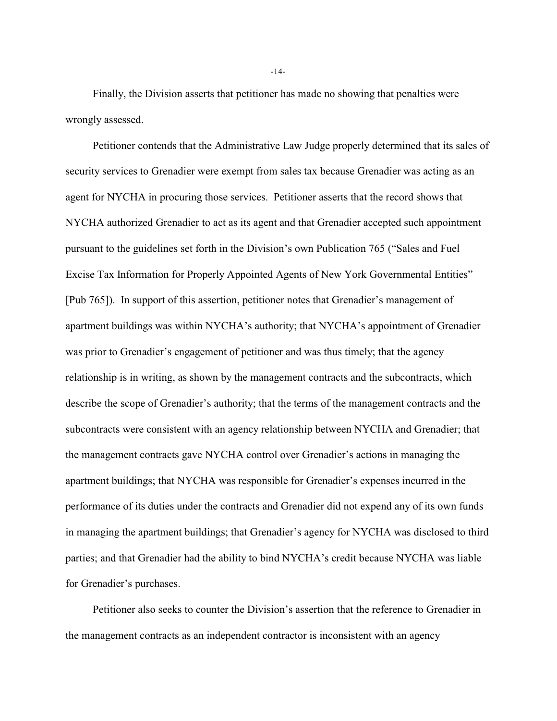Finally, the Division asserts that petitioner has made no showing that penalties were wrongly assessed.

Petitioner contends that the Administrative Law Judge properly determined that its sales of security services to Grenadier were exempt from sales tax because Grenadier was acting as an agent for NYCHA in procuring those services. Petitioner asserts that the record shows that NYCHA authorized Grenadier to act as its agent and that Grenadier accepted such appointment pursuant to the guidelines set forth in the Division's own Publication 765 ("Sales and Fuel Excise Tax Information for Properly Appointed Agents of New York Governmental Entities" [Pub 765]). In support of this assertion, petitioner notes that Grenadier's management of apartment buildings was within NYCHA's authority; that NYCHA's appointment of Grenadier was prior to Grenadier's engagement of petitioner and was thus timely; that the agency relationship is in writing, as shown by the management contracts and the subcontracts, which describe the scope of Grenadier's authority; that the terms of the management contracts and the subcontracts were consistent with an agency relationship between NYCHA and Grenadier; that the management contracts gave NYCHA control over Grenadier's actions in managing the apartment buildings; that NYCHA was responsible for Grenadier's expenses incurred in the performance of its duties under the contracts and Grenadier did not expend any of its own funds in managing the apartment buildings; that Grenadier's agency for NYCHA was disclosed to third parties; and that Grenadier had the ability to bind NYCHA's credit because NYCHA was liable for Grenadier's purchases.

Petitioner also seeks to counter the Division's assertion that the reference to Grenadier in the management contracts as an independent contractor is inconsistent with an agency

-14-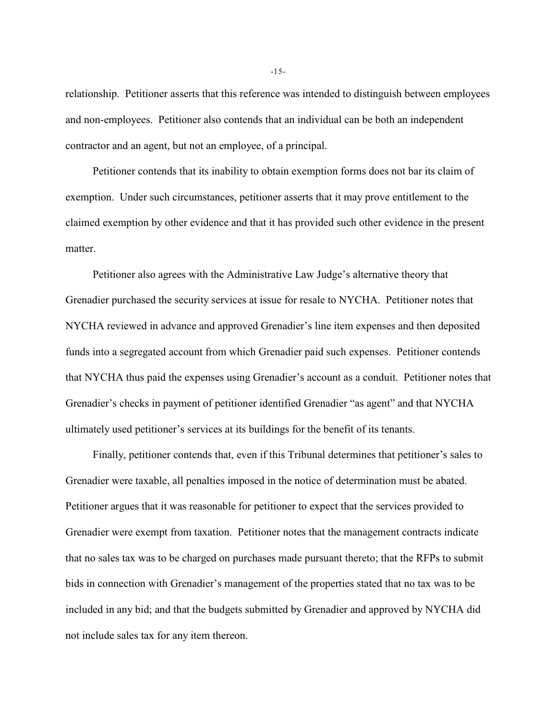relationship. Petitioner asserts that this reference was intended to distinguish between employees and non-employees. Petitioner also contends that an individual can be both an independent contractor and an agent, but not an employee, of a principal.

Petitioner contends that its inability to obtain exemption forms does not bar its claim of exemption. Under such circumstances, petitioner asserts that it may prove entitlement to the claimed exemption by other evidence and that it has provided such other evidence in the present matter.

Petitioner also agrees with the Administrative Law Judge's alternative theory that Grenadier purchased the security services at issue for resale to NYCHA. Petitioner notes that NYCHA reviewed in advance and approved Grenadier's line item expenses and then deposited funds into a segregated account from which Grenadier paid such expenses. Petitioner contends that NYCHA thus paid the expenses using Grenadier's account as a conduit. Petitioner notes that Grenadier's checks in payment of petitioner identified Grenadier "as agent" and that NYCHA ultimately used petitioner's services at its buildings for the benefit of its tenants.

Finally, petitioner contends that, even if this Tribunal determines that petitioner's sales to Grenadier were taxable, all penalties imposed in the notice of determination must be abated. Petitioner argues that it was reasonable for petitioner to expect that the services provided to Grenadier were exempt from taxation. Petitioner notes that the management contracts indicate that no sales tax was to be charged on purchases made pursuant thereto; that the RFPs to submit bids in connection with Grenadier's management of the properties stated that no tax was to be included in any bid; and that the budgets submitted by Grenadier and approved by NYCHA did not include sales tax for any item thereon.

-15-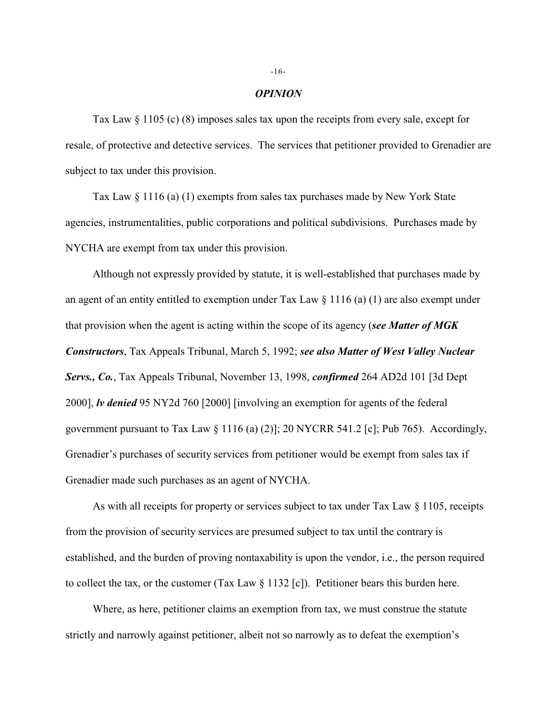### *OPINION*

Tax Law § 1105 (c) (8) imposes sales tax upon the receipts from every sale, except for resale, of protective and detective services. The services that petitioner provided to Grenadier are subject to tax under this provision.

Tax Law § 1116 (a) (1) exempts from sales tax purchases made by New York State agencies, instrumentalities, public corporations and political subdivisions. Purchases made by NYCHA are exempt from tax under this provision.

Although not expressly provided by statute, it is well-established that purchases made by an agent of an entity entitled to exemption under Tax Law  $\S 1116$  (a) (1) are also exempt under that provision when the agent is acting within the scope of its agency (*see Matter of MGK Constructors*, Tax Appeals Tribunal, March 5, 1992; *see also Matter of West Valley Nuclear Servs., Co.*, Tax Appeals Tribunal, November 13, 1998, *confirmed* 264 AD2d 101 [3d Dept 2000], *lv denied* 95 NY2d 760 [2000] [involving an exemption for agents of the federal government pursuant to Tax Law  $\S 1116$  (a) (2)]; 20 NYCRR 541.2 [c]; Pub 765). Accordingly, Grenadier's purchases of security services from petitioner would be exempt from sales tax if Grenadier made such purchases as an agent of NYCHA.

As with all receipts for property or services subject to tax under Tax Law § 1105, receipts from the provision of security services are presumed subject to tax until the contrary is established, and the burden of proving nontaxability is upon the vendor, i.e., the person required to collect the tax, or the customer (Tax Law  $\S 1132$  [c]). Petitioner bears this burden here.

Where, as here, petitioner claims an exemption from tax, we must construe the statute strictly and narrowly against petitioner, albeit not so narrowly as to defeat the exemption's

#### -16-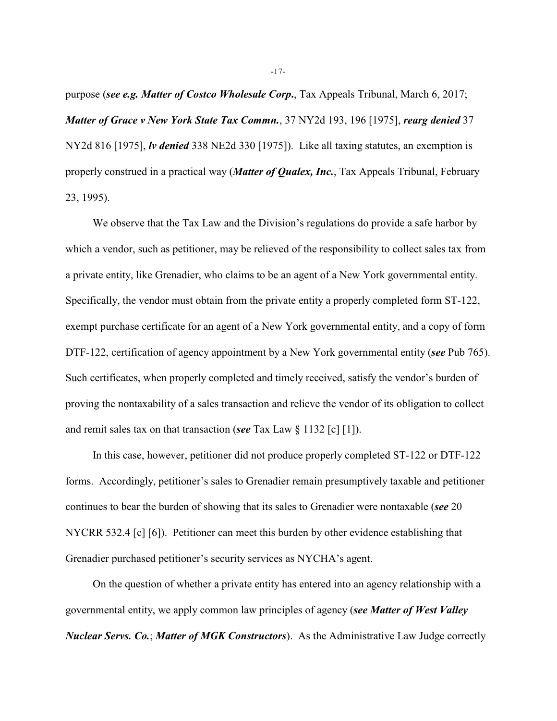purpose (*see e.g. Matter of Costco Wholesale Corp***.**, Tax Appeals Tribunal, March 6, 2017; *Matter of Grace v New York State Tax Commn.*, 37 NY2d 193, 196 [1975], *rearg denied* 37 NY2d 816 [1975], *lv denied* 338 NE2d 330 [1975]). Like all taxing statutes, an exemption is properly construed in a practical way (*Matter of Qualex, Inc.*, Tax Appeals Tribunal, February 23, 1995).

We observe that the Tax Law and the Division's regulations do provide a safe harbor by which a vendor, such as petitioner, may be relieved of the responsibility to collect sales tax from a private entity, like Grenadier, who claims to be an agent of a New York governmental entity. Specifically, the vendor must obtain from the private entity a properly completed form ST-122, exempt purchase certificate for an agent of a New York governmental entity, and a copy of form DTF-122, certification of agency appointment by a New York governmental entity (*see* Pub 765). Such certificates, when properly completed and timely received, satisfy the vendor's burden of proving the nontaxability of a sales transaction and relieve the vendor of its obligation to collect and remit sales tax on that transaction (*see* Tax Law § 1132 [c] [1]).

In this case, however, petitioner did not produce properly completed ST-122 or DTF-122 forms. Accordingly, petitioner's sales to Grenadier remain presumptively taxable and petitioner continues to bear the burden of showing that its sales to Grenadier were nontaxable (*see* 20 NYCRR 532.4 [c] [6]). Petitioner can meet this burden by other evidence establishing that Grenadier purchased petitioner's security services as NYCHA's agent.

On the question of whether a private entity has entered into an agency relationship with a governmental entity, we apply common law principles of agency (*see Matter of West Valley Nuclear Servs. Co.*; *Matter of MGK Constructors*). As the Administrative Law Judge correctly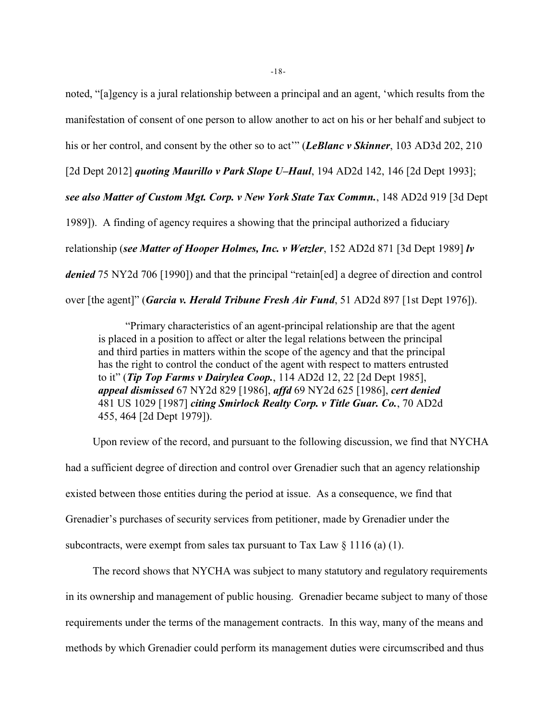noted, "[a]gency is a jural relationship between a principal and an agent, 'which results from the manifestation of consent of one person to allow another to act on his or her behalf and subject to

his or her control, and consent by the other so to act'" (*LeBlanc v Skinner*, 103 AD3d 202, 210

[2d Dept 2012] *quoting Maurillo v Park Slope U–Haul*, 194 AD2d 142, 146 [2d Dept 1993];

*see also Matter of Custom Mgt. Corp. v New York State Tax Commn.*, 148 AD2d 919 [3d Dept

1989]). A finding of agency requires a showing that the principal authorized a fiduciary

relationship (*see Matter of Hooper Holmes, Inc. v Wetzler*, 152 AD2d 871 [3d Dept 1989] *lv*

*denied* 75 NY2d 706 [1990]) and that the principal "retain[ed] a degree of direction and control

over [the agent]" (*Garcia v. Herald Tribune Fresh Air Fund*, 51 AD2d 897 [1st Dept 1976]).

"Primary characteristics of an agent-principal relationship are that the agent is placed in a position to affect or alter the legal relations between the principal and third parties in matters within the scope of the agency and that the principal has the right to control the conduct of the agent with respect to matters entrusted to it" (*Tip Top Farms v Dairylea Coop.*, 114 AD2d 12, 22 [2d Dept 1985], *appeal dismissed* 67 NY2d 829 [1986], *affd* 69 NY2d 625 [1986], *cert denied* 481 US 1029 [1987] *citing Smirlock Realty Corp. v Title Guar. Co.*, 70 AD2d 455, 464 [2d Dept 1979]).

Upon review of the record, and pursuant to the following discussion, we find that NYCHA had a sufficient degree of direction and control over Grenadier such that an agency relationship existed between those entities during the period at issue. As a consequence, we find that Grenadier's purchases of security services from petitioner, made by Grenadier under the subcontracts, were exempt from sales tax pursuant to Tax Law  $\S 1116$  (a) (1).

The record shows that NYCHA was subject to many statutory and regulatory requirements in its ownership and management of public housing. Grenadier became subject to many of those requirements under the terms of the management contracts. In this way, many of the means and methods by which Grenadier could perform its management duties were circumscribed and thus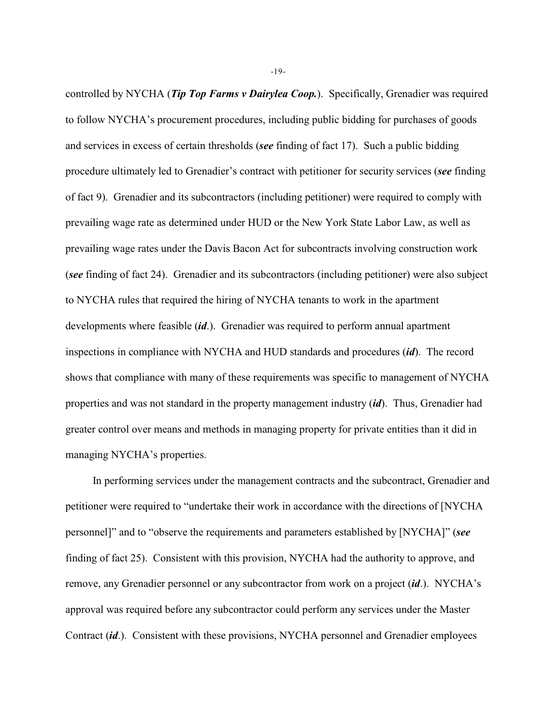controlled by NYCHA (*Tip Top Farms v Dairylea Coop.*). Specifically, Grenadier was required to follow NYCHA's procurement procedures, including public bidding for purchases of goods and services in excess of certain thresholds (*see* finding of fact 17). Such a public bidding procedure ultimately led to Grenadier's contract with petitioner for security services (*see* finding of fact 9). Grenadier and its subcontractors (including petitioner) were required to comply with prevailing wage rate as determined under HUD or the New York State Labor Law, as well as prevailing wage rates under the Davis Bacon Act for subcontracts involving construction work (*see* finding of fact 24). Grenadier and its subcontractors (including petitioner) were also subject to NYCHA rules that required the hiring of NYCHA tenants to work in the apartment developments where feasible (*id*.). Grenadier was required to perform annual apartment inspections in compliance with NYCHA and HUD standards and procedures (*id*). The record shows that compliance with many of these requirements was specific to management of NYCHA properties and was not standard in the property management industry (*id*). Thus, Grenadier had greater control over means and methods in managing property for private entities than it did in managing NYCHA's properties.

In performing services under the management contracts and the subcontract, Grenadier and petitioner were required to "undertake their work in accordance with the directions of [NYCHA personnel]" and to "observe the requirements and parameters established by [NYCHA]" (*see* finding of fact 25). Consistent with this provision, NYCHA had the authority to approve, and remove, any Grenadier personnel or any subcontractor from work on a project (*id*.). NYCHA's approval was required before any subcontractor could perform any services under the Master Contract (*id*.). Consistent with these provisions, NYCHA personnel and Grenadier employees

-19-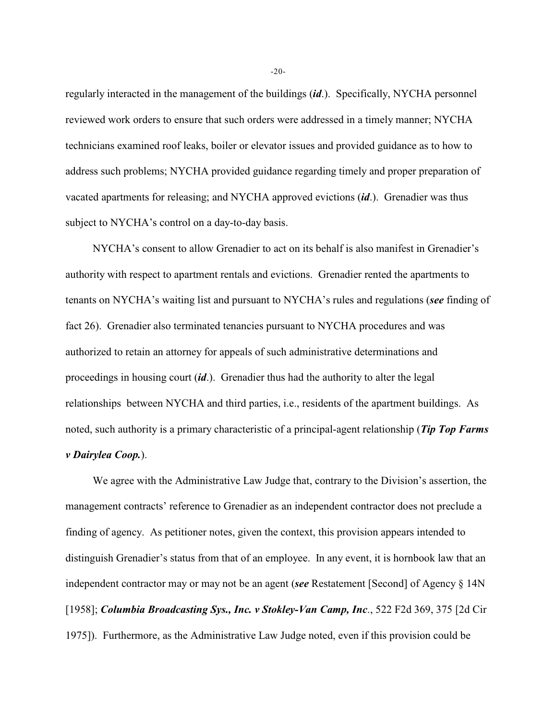regularly interacted in the management of the buildings (*id*.). Specifically, NYCHA personnel reviewed work orders to ensure that such orders were addressed in a timely manner; NYCHA technicians examined roof leaks, boiler or elevator issues and provided guidance as to how to address such problems; NYCHA provided guidance regarding timely and proper preparation of vacated apartments for releasing; and NYCHA approved evictions (*id*.). Grenadier was thus subject to NYCHA's control on a day-to-day basis.

NYCHA's consent to allow Grenadier to act on its behalf is also manifest in Grenadier's authority with respect to apartment rentals and evictions. Grenadier rented the apartments to tenants on NYCHA's waiting list and pursuant to NYCHA's rules and regulations (*see* finding of fact 26). Grenadier also terminated tenancies pursuant to NYCHA procedures and was authorized to retain an attorney for appeals of such administrative determinations and proceedings in housing court (*id*.). Grenadier thus had the authority to alter the legal relationships between NYCHA and third parties, i.e., residents of the apartment buildings. As noted, such authority is a primary characteristic of a principal-agent relationship (*Tip Top Farms v Dairylea Coop.*).

We agree with the Administrative Law Judge that, contrary to the Division's assertion, the management contracts' reference to Grenadier as an independent contractor does not preclude a finding of agency. As petitioner notes, given the context, this provision appears intended to distinguish Grenadier's status from that of an employee. In any event, it is hornbook law that an independent contractor may or may not be an agent (*see* Restatement [Second] of Agency § 14N [1958]; *Columbia Broadcasting Sys., Inc. v Stokley-Van Camp, Inc*., 522 F2d 369, 375 [2d Cir 1975]). Furthermore, as the Administrative Law Judge noted, even if this provision could be

-20-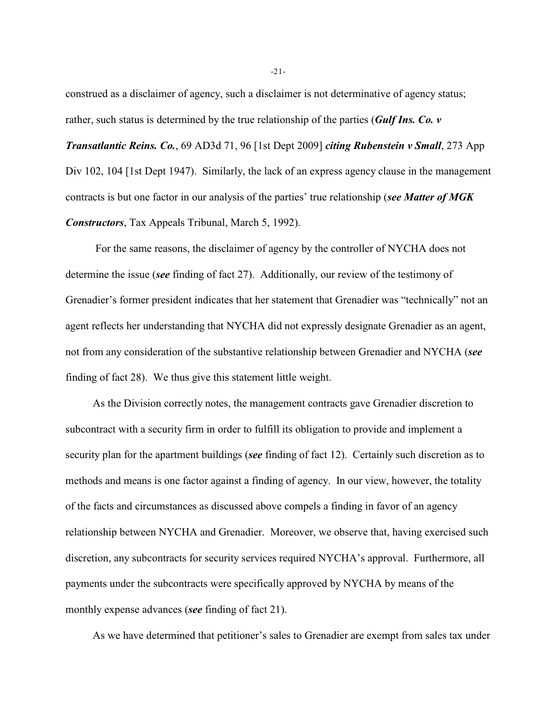construed as a disclaimer of agency, such a disclaimer is not determinative of agency status; rather, such status is determined by the true relationship of the parties (*Gulf Ins. Co. v*

*Transatlantic Reins. Co.*, 69 AD3d 71, 96 [1st Dept 2009] *citing Rubenstein v Small*, 273 App Div 102, 104 [1st Dept 1947). Similarly, the lack of an express agency clause in the management contracts is but one factor in our analysis of the parties' true relationship (*see Matter of MGK Constructors*, Tax Appeals Tribunal, March 5, 1992).

 For the same reasons, the disclaimer of agency by the controller of NYCHA does not determine the issue (*see* finding of fact 27). Additionally, our review of the testimony of Grenadier's former president indicates that her statement that Grenadier was "technically" not an agent reflects her understanding that NYCHA did not expressly designate Grenadier as an agent, not from any consideration of the substantive relationship between Grenadier and NYCHA (*see* finding of fact 28). We thus give this statement little weight.

As the Division correctly notes, the management contracts gave Grenadier discretion to subcontract with a security firm in order to fulfill its obligation to provide and implement a security plan for the apartment buildings (*see* finding of fact 12). Certainly such discretion as to methods and means is one factor against a finding of agency. In our view, however, the totality of the facts and circumstances as discussed above compels a finding in favor of an agency relationship between NYCHA and Grenadier. Moreover, we observe that, having exercised such discretion, any subcontracts for security services required NYCHA's approval. Furthermore, all payments under the subcontracts were specifically approved by NYCHA by means of the monthly expense advances (*see* finding of fact 21).

As we have determined that petitioner's sales to Grenadier are exempt from sales tax under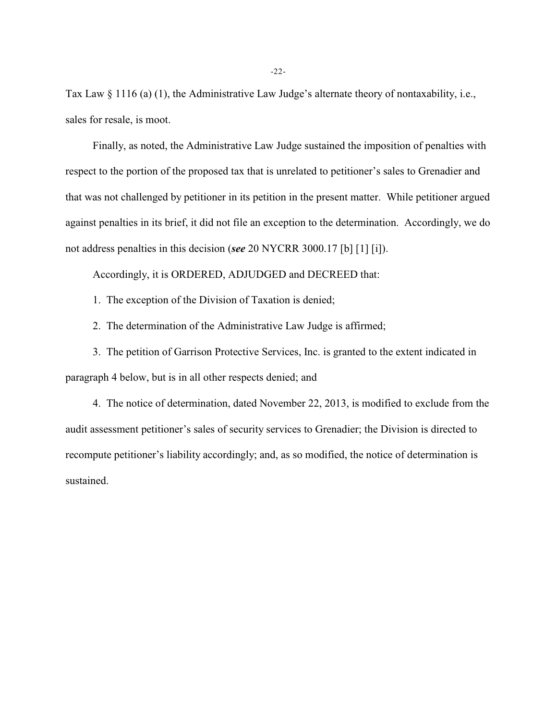Tax Law § 1116 (a) (1), the Administrative Law Judge's alternate theory of nontaxability, i.e., sales for resale, is moot.

Finally, as noted, the Administrative Law Judge sustained the imposition of penalties with respect to the portion of the proposed tax that is unrelated to petitioner's sales to Grenadier and that was not challenged by petitioner in its petition in the present matter. While petitioner argued against penalties in its brief, it did not file an exception to the determination. Accordingly, we do not address penalties in this decision (*see* 20 NYCRR 3000.17 [b] [1] [i]).

Accordingly, it is ORDERED, ADJUDGED and DECREED that:

1. The exception of the Division of Taxation is denied;

2. The determination of the Administrative Law Judge is affirmed;

3. The petition of Garrison Protective Services, Inc. is granted to the extent indicated in paragraph 4 below, but is in all other respects denied; and

4. The notice of determination, dated November 22, 2013, is modified to exclude from the audit assessment petitioner's sales of security services to Grenadier; the Division is directed to recompute petitioner's liability accordingly; and, as so modified, the notice of determination is sustained.